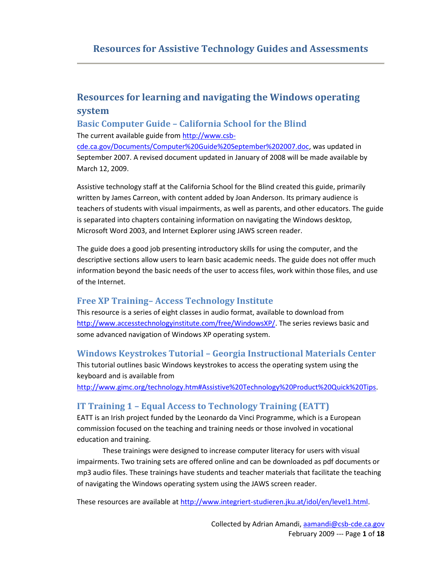# **Resources for learning and navigating the Windows operating system**

## **Basic Computer Guide – California School for the Blind**

The current available guide from [http://www.csb-](http://www.csb-cde.ca.gov/Documents/Computer%20Guide%20September%202007.doc)

[cde.ca.gov/Documents/Computer%20Guide%20September%202007.doc,](http://www.csb-cde.ca.gov/Documents/Computer%20Guide%20September%202007.doc) was updated in September 2007. A revised document updated in January of 2008 will be made available by March 12, 2009.

Assistive technology staff at the California School for the Blind created this guide, primarily written by James Carreon, with content added by Joan Anderson. Its primary audience is teachers of students with visual impairments, as well as parents, and other educators. The guide is separated into chapters containing information on navigating the Windows desktop, Microsoft Word 2003, and Internet Explorer using JAWS screen reader.

The guide does a good job presenting introductory skills for using the computer, and the descriptive sections allow users to learn basic academic needs. The guide does not offer much information beyond the basic needs of the user to access files, work within those files, and use of the Internet.

## **Free XP Training– Access Technology Institute**

This resource is a series of eight classes in audio format, available to download from [http://www.accesstechnologyinstitute.com/free/WindowsXP/.](http://www.accesstechnologyinstitute.com/free/WindowsXP/) The series reviews basic and some advanced navigation of Windows XP operating system.

### **Windows Keystrokes Tutorial – Georgia Instructional Materials Center**

This tutorial outlines basic Windows keystrokes to access the operating system using the keyboard and is available from

[http://www.gimc.org/technology.htm#Assistive%20Technology%20Product%20Quick%20Tips.](http://www.gimc.org/technology.htm#Assistive%20Technology%20Product%20Quick%20Tips)

## **IT Training 1 – Equal Access to Technology Training (EATT)**

EATT is an Irish project funded by the Leonardo da Vinci Programme, which is a European commission focused on the teaching and training needs or those involved in vocational education and training.

These trainings were designed to increase computer literacy for users with visual impairments. Two training sets are offered online and can be downloaded as pdf documents or mp3 audio files. These trainings have students and teacher materials that facilitate the teaching of navigating the Windows operating system using the JAWS screen reader.

These resources are available at [http://www.integriert-studieren.jku.at/idol/en/level1.html.](http://www.integriert-studieren.jku.at/idol/en/level1.html)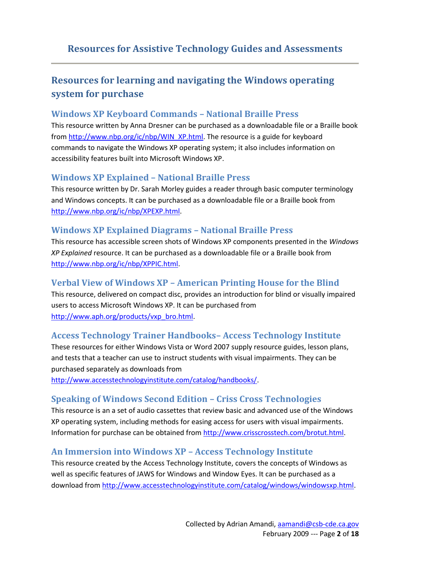# **Resources for learning and navigating the Windows operating system for purchase**

#### **Windows XP Keyboard Commands – National Braille Press**

This resource written by Anna Dresner can be purchased as a downloadable file or a Braille book from [http://www.nbp.org/ic/nbp/WIN\\_XP.html.](http://www.nbp.org/ic/nbp/WIN_XP.html) The resource is a guide for keyboard commands to navigate the Windows XP operating system; it also includes information on accessibility features built into Microsoft Windows XP.

### **Windows XP Explained – National Braille Press**

This resource written by Dr. Sarah Morley guides a reader through basic computer terminology and Windows concepts. It can be purchased as a downloadable file or a Braille book from [http://www.nbp.org/ic/nbp/XPEXP.html.](http://www.nbp.org/ic/nbp/XPEXP.html)

## **Windows XP Explained Diagrams – National Braille Press**

This resource has accessible screen shots of Windows XP components presented in the *Windows XP Explained* resource. It can be purchased as a downloadable file or a Braille book from [http://www.nbp.org/ic/nbp/XPPIC.html.](http://www.nbp.org/ic/nbp/XPPIC.html)

### **Verbal View of Windows XP – American Printing House for the Blind**

This resource, delivered on compact disc, provides an introduction for blind or visually impaired users to access Microsoft Windows XP. It can be purchased from [http://www.aph.org/products/vxp\\_bro.html.](http://www.aph.org/products/vxp_bro.html)

## **Access Technology Trainer Handbooks– Access Technology Institute**

These resources for either Windows Vista or Word 2007 supply resource guides, lesson plans, and tests that a teacher can use to instruct students with visual impairments. They can be purchased separately as downloads from

[http://www.accesstechnologyinstitute.com/catalog/handbooks/.](http://www.accesstechnologyinstitute.com/catalog/handbooks/)

### **Speaking of Windows Second Edition – Criss Cross Technologies**

This resource is an a set of audio cassettes that review basic and advanced use of the Windows XP operating system, including methods for easing access for users with visual impairments. Information for purchase can be obtained fro[m http://www.crisscrosstech.com/brotut.html.](http://www.crisscrosstech.com/brotut.html)

### **An Immersion into Windows XP – Access Technology Institute**

This resource created by the Access Technology Institute, covers the concepts of Windows as well as specific features of JAWS for Windows and Window Eyes. It can be purchased as a download from [http://www.accesstechnologyinstitute.com/catalog/windows/windowsxp.html.](http://www.accesstechnologyinstitute.com/catalog/windows/windowsxp.html)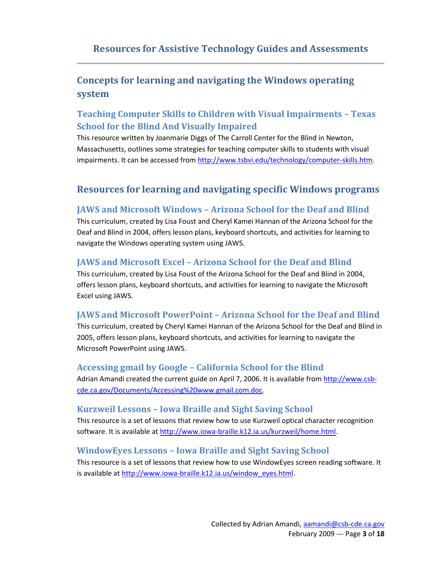# **Concepts for learning and navigating the Windows operating system**

# **Teaching Computer Skills to Children with Visual Impairments – Texas School for the Blind And Visually Impaired**

This resource written by Joanmarie Diggs of The Carroll Center for the Blind in Newton, Massachusetts, outlines some strategies for teaching computer skills to students with visual impairments. It can be accessed fro[m http://www.tsbvi.edu/technology/computer-skills.htm.](http://www.tsbvi.edu/technology/computer-skills.htm)

# **Resources for learning and navigating specific Windows programs**

#### **JAWS and Microsoft Windows – Arizona School for the Deaf and Blind**

This curriculum, created by Lisa Foust and Cheryl Kamei Hannan of the Arizona School for the Deaf and Blind in 2004, offers lesson plans, keyboard shortcuts, and activities for learning to navigate the Windows operating system using JAWS.

### **JAWS and Microsoft Excel – Arizona School for the Deaf and Blind**

This curriculum, created by Lisa Foust of the Arizona School for the Deaf and Blind in 2004, offers lesson plans, keyboard shortcuts, and activities for learning to navigate the Microsoft Excel using JAWS.

### **JAWS and Microsoft PowerPoint – Arizona School for the Deaf and Blind**

This curriculum, created by Cheryl Kamei Hannan of the Arizona School for the Deaf and Blind in 2005, offers lesson plans, keyboard shortcuts, and activities for learning to navigate the Microsoft PowerPoint using JAWS.

#### **Accessing gmail by Google – California School for the Blind**

Adrian Amandi created the current guide on April 7, 2006. It is available fro[m http://www.csb](http://www.csb-cde.ca.gov/Documents/Accessing%20www.gmail.com.doc)[cde.ca.gov/Documents/Accessing%20www.gmail.com.doc.](http://www.csb-cde.ca.gov/Documents/Accessing%20www.gmail.com.doc)

#### **Kurzweil Lessons – Iowa Braille and Sight Saving School**

This resource is a set of lessons that review how to use Kurzweil optical character recognition software. It is available a[t http://www.iowa-braille.k12.ia.us/kurzweil/home.html.](http://www.iowa-braille.k12.ia.us/kurzweil/home.html)

#### **WindowEyes Lessons – Iowa Braille and Sight Saving School**

This resource is a set of lessons that review how to use WindowEyes screen reading software. It is available at [http://www.iowa-braille.k12.ia.us/window\\_eyes.html.](http://www.iowa-braille.k12.ia.us/window_eyes.html)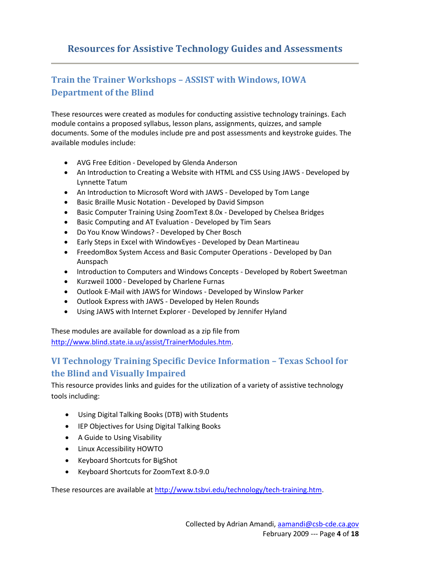## **Train the Trainer Workshops – ASSIST with Windows, IOWA Department of the Blind**

These resources were created as modules for conducting assistive technology trainings. Each module contains a proposed syllabus, lesson plans, assignments, quizzes, and sample documents. Some of the modules include pre and post assessments and keystroke guides. The available modules include:

- AVG Free Edition Developed by Glenda Anderson
- An Introduction to Creating a Website with HTML and CSS Using JAWS Developed by Lynnette Tatum
- An Introduction to Microsoft Word with JAWS Developed by Tom Lange
- Basic Braille Music Notation Developed by David Simpson
- Basic Computer Training Using ZoomText 8.0x Developed by Chelsea Bridges
- Basic Computing and AT Evaluation Developed by Tim Sears
- Do You Know Windows? Developed by Cher Bosch
- Early Steps in Excel with WindowEyes Developed by Dean Martineau
- FreedomBox System Access and Basic Computer Operations Developed by Dan Aunspach
- Introduction to Computers and Windows Concepts Developed by Robert Sweetman
- Kurzweil 1000 Developed by Charlene Furnas
- Outlook E-Mail with JAWS for Windows Developed by Winslow Parker
- Outlook Express with JAWS Developed by Helen Rounds
- Using JAWS with Internet Explorer Developed by Jennifer Hyland

These modules are available for download as a zip file from [http://www.blind.state.ia.us/assist/TrainerModules.htm.](http://www.blind.state.ia.us/assist/TrainerModules.htm)

## **VI Technology Training Specific Device Information – Texas School for the Blind and Visually Impaired**

This resource provides links and guides for the utilization of a variety of assistive technology tools including:

- Using Digital Talking Books (DTB) with Students
- **•** IEP Objectives for Using Digital Talking Books
- A Guide to Using Visability
- Linux Accessibility HOWTO
- Keyboard Shortcuts for BigShot
- Keyboard Shortcuts for ZoomText 8.0-9.0

These resources are available at [http://www.tsbvi.edu/technology/tech-training.htm.](http://www.tsbvi.edu/technology/tech-training.htm)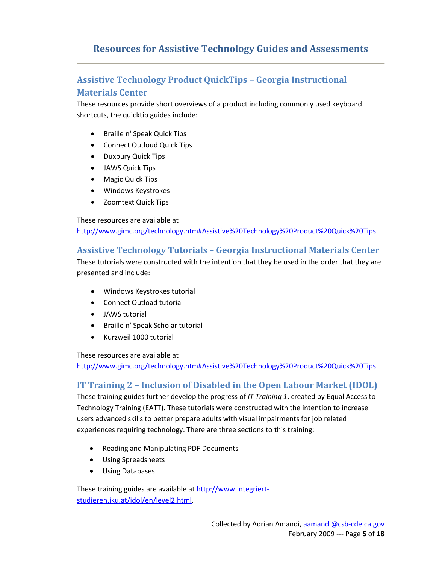## **Assistive Technology Product QuickTips – Georgia Instructional Materials Center**

These resources provide short overviews of a product including commonly used keyboard shortcuts, the quicktip guides include:

- Braille n' Speak Quick Tips
- Connect Outloud Quick Tips
- Duxbury Quick Tips
- JAWS Quick Tips
- Magic Quick Tips
- Windows Keystrokes
- Zoomtext Quick Tips

These resources are available at

[http://www.gimc.org/technology.htm#Assistive%20Technology%20Product%20Quick%20Tips.](http://www.gimc.org/technology.htm#Assistive%20Technology%20Product%20Quick%20Tips)

### **Assistive Technology Tutorials – Georgia Instructional Materials Center**

These tutorials were constructed with the intention that they be used in the order that they are presented and include:

- Windows Keystrokes tutorial
- Connect Outload tutorial
- JAWS tutorial
- Braille n' Speak Scholar tutorial
- Kurzweil 1000 tutorial

These resources are available at

[http://www.gimc.org/technology.htm#Assistive%20Technology%20Product%20Quick%20Tips.](http://www.gimc.org/technology.htm#Assistive%20Technology%20Product%20Quick%20Tips)

### **IT Training 2 – Inclusion of Disabled in the Open Labour Market (IDOL)**

These training guides further develop the progress of *IT Training 1*, created by Equal Access to Technology Training (EATT). These tutorials were constructed with the intention to increase users advanced skills to better prepare adults with visual impairments for job related experiences requiring technology. There are three sections to this training:

- Reading and Manipulating PDF Documents
- Using Spreadsheets
- Using Databases

These training guides are available at [http://www.integriert](http://www.integriert-studieren.jku.at/idol/en/level2.html)[studieren.jku.at/idol/en/level2.html.](http://www.integriert-studieren.jku.at/idol/en/level2.html)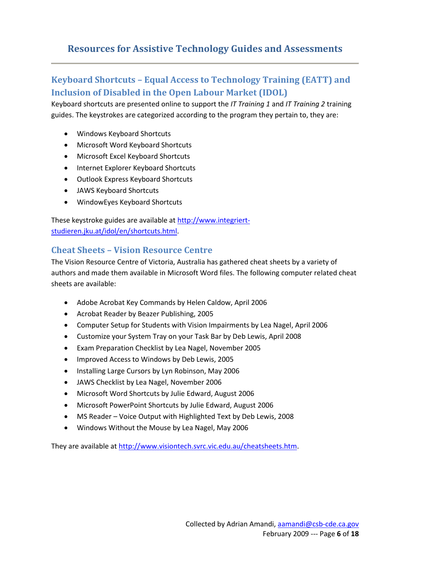# **Keyboard Shortcuts – Equal Access to Technology Training (EATT) and Inclusion of Disabled in the Open Labour Market (IDOL)**

Keyboard shortcuts are presented online to support the *IT Training 1* and *IT Training 2* training guides. The keystrokes are categorized according to the program they pertain to, they are:

- Windows Keyboard Shortcuts
- Microsoft Word Keyboard Shortcuts
- Microsoft Excel Keyboard Shortcuts
- Internet Explorer Keyboard Shortcuts
- Outlook Express Keyboard Shortcuts
- JAWS Keyboard Shortcuts
- WindowEyes Keyboard Shortcuts

These keystroke guides are available at [http://www.integriert](http://www.integriert-studieren.jku.at/idol/en/shortcuts.html)[studieren.jku.at/idol/en/shortcuts.html.](http://www.integriert-studieren.jku.at/idol/en/shortcuts.html)

#### **Cheat Sheets – Vision Resource Centre**

The Vision Resource Centre of Victoria, Australia has gathered cheat sheets by a variety of authors and made them available in Microsoft Word files. The following computer related cheat sheets are available:

- Adobe Acrobat Key Commands by Helen Caldow, April 2006
- Acrobat Reader by Beazer Publishing, 2005
- Computer Setup for Students with Vision Impairments by Lea Nagel, April 2006
- Customize your System Tray on your Task Bar by Deb Lewis, April 2008
- Exam Preparation Checklist by Lea Nagel, November 2005
- Improved Access to Windows by Deb Lewis, 2005
- Installing Large Cursors by Lyn Robinson, May 2006
- JAWS Checklist by Lea Nagel, November 2006
- Microsoft Word Shortcuts by Julie Edward, August 2006
- Microsoft PowerPoint Shortcuts by Julie Edward, August 2006
- MS Reader Voice Output with Highlighted Text by Deb Lewis, 2008
- Windows Without the Mouse by Lea Nagel, May 2006

They are available a[t http://www.visiontech.svrc.vic.edu.au/cheatsheets.htm.](http://www.visiontech.svrc.vic.edu.au/cheatsheets.htm)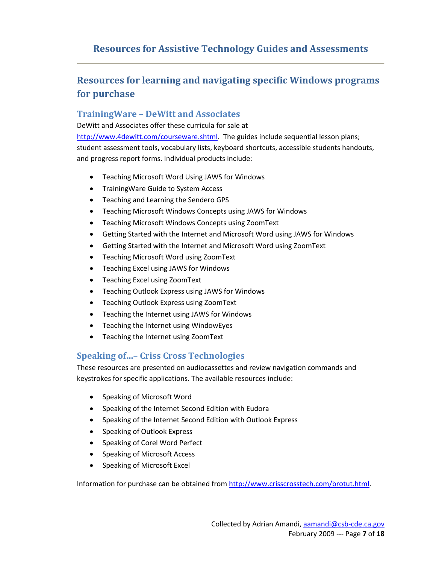# **Resources for learning and navigating specific Windows programs for purchase**

### **TrainingWare – DeWitt and Associates**

DeWitt and Associates offer these curricula for sale at [http://www.4dewitt.com/courseware.shtml.](http://www.4dewitt.com/courseware.shtml) The guides include sequential lesson plans; student assessment tools, vocabulary lists, keyboard shortcuts, accessible students handouts, and progress report forms. Individual products include:

- Teaching Microsoft Word Using JAWS for Windows
- Training Ware Guide to System Access
- Teaching and Learning the Sendero GPS
- Teaching Microsoft Windows Concepts using JAWS for Windows
- Teaching Microsoft Windows Concepts using ZoomText
- Getting Started with the Internet and Microsoft Word using JAWS for Windows
- Getting Started with the Internet and Microsoft Word using ZoomText
- Teaching Microsoft Word using ZoomText
- Teaching Excel using JAWS for Windows
- Teaching Excel using ZoomText
- Teaching Outlook Express using JAWS for Windows
- Teaching Outlook Express using ZoomText
- Teaching the Internet using JAWS for Windows
- Teaching the Internet using WindowEyes
- Teaching the Internet using ZoomText

## **Speaking of…– Criss Cross Technologies**

These resources are presented on audiocassettes and review navigation commands and keystrokes for specific applications. The available resources include:

- Speaking of Microsoft Word
- Speaking of the Internet Second Edition with Eudora
- Speaking of the Internet Second Edition with Outlook Express
- Speaking of Outlook Express
- Speaking of Corel Word Perfect
- Speaking of Microsoft Access
- Speaking of Microsoft Excel

Information for purchase can be obtained fro[m http://www.crisscrosstech.com/brotut.html.](http://www.crisscrosstech.com/brotut.html)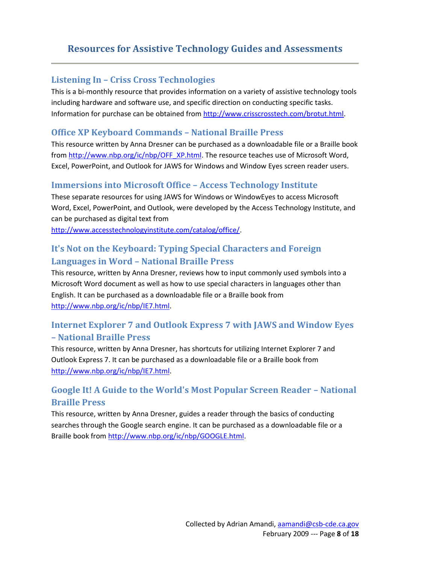#### **Listening In – Criss Cross Technologies**

This is a bi-monthly resource that provides information on a variety of assistive technology tools including hardware and software use, and specific direction on conducting specific tasks. Information for purchase can be obtained fro[m http://www.crisscrosstech.com/brotut.html.](http://www.crisscrosstech.com/brotut.html)

#### **Office XP Keyboard Commands – National Braille Press**

This resource written by Anna Dresner can be purchased as a downloadable file or a Braille book from [http://www.nbp.org/ic/nbp/OFF\\_XP.html.](http://www.nbp.org/ic/nbp/OFF_XP.html) The resource teaches use of Microsoft Word, Excel, PowerPoint, and Outlook for JAWS for Windows and Window Eyes screen reader users.

#### **Immersions into Microsoft Office – Access Technology Institute**

These separate resources for using JAWS for Windows or WindowEyes to access Microsoft Word, Excel, PowerPoint, and Outlook, were developed by the Access Technology Institute, and can be purchased as digital text from

[http://www.accesstechnologyinstitute.com/catalog/office/.](http://www.accesstechnologyinstitute.com/catalog/office/)

## **It's Not on the Keyboard: Typing Special Characters and Foreign Languages in Word – National Braille Press**

This resource, written by Anna Dresner, reviews how to input commonly used symbols into a Microsoft Word document as well as how to use special characters in languages other than English. It can be purchased as a downloadable file or a Braille book from [http://www.nbp.org/ic/nbp/IE7.html.](http://www.nbp.org/ic/nbp/IE7.html)

## **Internet Explorer 7 and Outlook Express 7 with JAWS and Window Eyes – National Braille Press**

This resource, written by Anna Dresner, has shortcuts for utilizing Internet Explorer 7 and Outlook Express 7. It can be purchased as a downloadable file or a Braille book from [http://www.nbp.org/ic/nbp/IE7.html.](http://www.nbp.org/ic/nbp/IE7.html)

# **Google It! A Guide to the World's Most Popular Screen Reader – National Braille Press**

This resource, written by Anna Dresner, guides a reader through the basics of conducting searches through the Google search engine. It can be purchased as a downloadable file or a Braille book from [http://www.nbp.org/ic/nbp/GOOGLE.html.](http://www.nbp.org/ic/nbp/GOOGLE.html)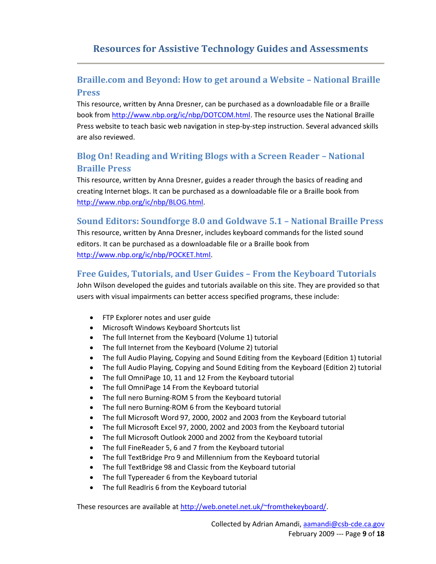# **Braille.com and Beyond: How to get around a Website – National Braille Press**

This resource, written by Anna Dresner, can be purchased as a downloadable file or a Braille book from [http://www.nbp.org/ic/nbp/DOTCOM.html.](http://www.nbp.org/ic/nbp/DOTCOM.html) The resource uses the National Braille Press website to teach basic web navigation in step-by-step instruction. Several advanced skills are also reviewed.

# **Blog On! Reading and Writing Blogs with a Screen Reader – National Braille Press**

This resource, written by Anna Dresner, guides a reader through the basics of reading and creating Internet blogs. It can be purchased as a downloadable file or a Braille book from [http://www.nbp.org/ic/nbp/BLOG.html.](http://www.nbp.org/ic/nbp/BLOG.html)

#### **Sound Editors: Soundforge 8.0 and Goldwave 5.1 – National Braille Press**

This resource, written by Anna Dresner, includes keyboard commands for the listed sound editors. It can be purchased as a downloadable file or a Braille book from [http://www.nbp.org/ic/nbp/POCKET.html.](http://www.nbp.org/ic/nbp/POCKET.html)

## **Free Guides, Tutorials, and User Guides – From the Keyboard Tutorials**

John Wilson developed the guides and tutorials available on this site. They are provided so that users with visual impairments can better access specified programs, these include:

- FTP Explorer notes and user guide
- Microsoft Windows Keyboard Shortcuts list
- The full Internet from the Keyboard (Volume 1) tutorial
- The full Internet from the Keyboard (Volume 2) tutorial
- The full Audio Playing, Copying and Sound Editing from the Keyboard (Edition 1) tutorial
- The full Audio Playing, Copying and Sound Editing from the Keyboard (Edition 2) tutorial
- The full OmniPage 10, 11 and 12 From the Keyboard tutorial
- The full OmniPage 14 From the Keyboard tutorial
- The full nero Burning-ROM 5 from the Keyboard tutorial
- The full nero Burning-ROM 6 from the Keyboard tutorial
- The full Microsoft Word 97, 2000, 2002 and 2003 from the Keyboard tutorial
- The full Microsoft Excel 97, 2000, 2002 and 2003 from the Keyboard tutorial
- The full Microsoft Outlook 2000 and 2002 from the Keyboard tutorial
- The full FineReader 5, 6 and 7 from the Keyboard tutorial
- The full TextBridge Pro 9 and Millennium from the Keyboard tutorial
- The full TextBridge 98 and Classic from the Keyboard tutorial
- The full Typereader 6 from the Keyboard tutorial
- The full ReadIris 6 from the Keyboard tutorial

These resources are available at [http://web.onetel.net.uk/~fromthekeyboard/.](http://web.onetel.net.uk/~fromthekeyboard/)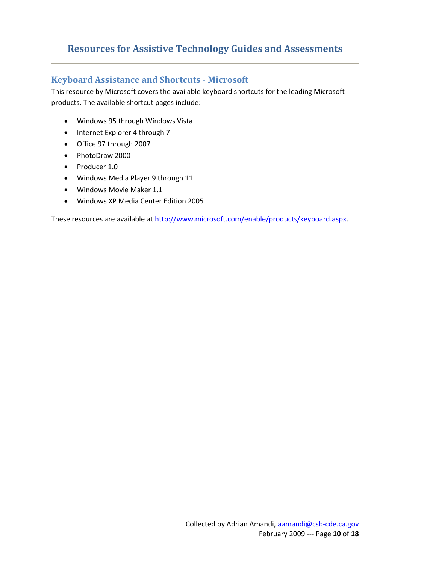#### **Keyboard Assistance and Shortcuts - Microsoft**

This resource by Microsoft covers the available keyboard shortcuts for the leading Microsoft products. The available shortcut pages include:

- Windows 95 through Windows Vista
- Internet Explorer 4 through 7
- Office 97 through 2007
- PhotoDraw 2000
- Producer 1.0
- Windows Media Player 9 through 11
- Windows Movie Maker 1.1
- Windows XP Media Center Edition 2005

These resources are available at [http://www.microsoft.com/enable/products/keyboard.aspx.](http://www.microsoft.com/enable/products/keyboard.aspx)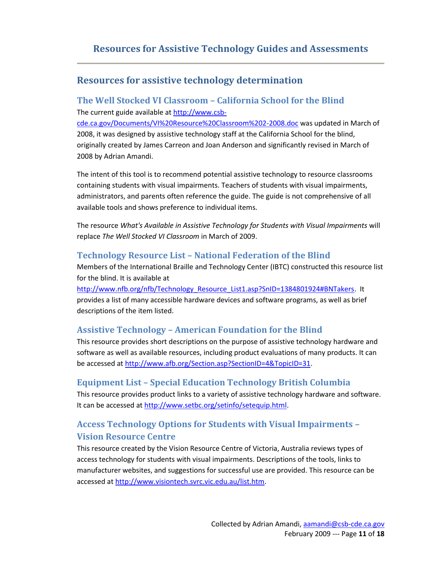# **Resources for assistive technology determination**

## **The Well Stocked VI Classroom – California School for the Blind** The current guide available at [http://www.csb-](http://www.csb-cde.ca.gov/Documents/VI%20Resource%20Classroom%202-2008.doc)

[cde.ca.gov/Documents/VI%20Resource%20Classroom%202-2008.doc](http://www.csb-cde.ca.gov/Documents/VI%20Resource%20Classroom%202-2008.doc) was updated in March of 2008, it was designed by assistive technology staff at the California School for the blind, originally created by James Carreon and Joan Anderson and significantly revised in March of 2008 by Adrian Amandi.

The intent of this tool is to recommend potential assistive technology to resource classrooms containing students with visual impairments. Teachers of students with visual impairments, administrators, and parents often reference the guide. The guide is not comprehensive of all available tools and shows preference to individual items.

The resource *What's Available in Assistive Technology for Students with Visual Impairments* will replace *The Well Stocked VI Classroom* in March of 2009.

#### **Technology Resource List – National Federation of the Blind**

Members of the International Braille and Technology Center (IBTC) constructed this resource list for the blind. It is available at

[http://www.nfb.org/nfb/Technology\\_Resource\\_List1.asp?SnID=1384801924#BNTakers.](http://www.nfb.org/nfb/Technology_Resource_List1.asp?SnID=1384801924#BNTakers) It provides a list of many accessible hardware devices and software programs, as well as brief descriptions of the item listed.

### **Assistive Technology – American Foundation for the Blind**

This resource provides short descriptions on the purpose of assistive technology hardware and software as well as available resources, including product evaluations of many products. It can be accessed at [http://www.afb.org/Section.asp?SectionID=4&TopicID=31.](http://www.afb.org/Section.asp?SectionID=4&TopicID=31)

### **Equipment List – Special Education Technology British Columbia**

This resource provides product links to a variety of assistive technology hardware and software. It can be accessed at [http://www.setbc.org/setinfo/setequip.html.](http://www.setbc.org/setinfo/setequip.html)

## **Access Technology Options for Students with Visual Impairments – Vision Resource Centre**

This resource created by the Vision Resource Centre of Victoria, Australia reviews types of access technology for students with visual impairments. Descriptions of the tools, links to manufacturer websites, and suggestions for successful use are provided. This resource can be accessed at [http://www.visiontech.svrc.vic.edu.au/list.htm.](http://www.visiontech.svrc.vic.edu.au/list.htm)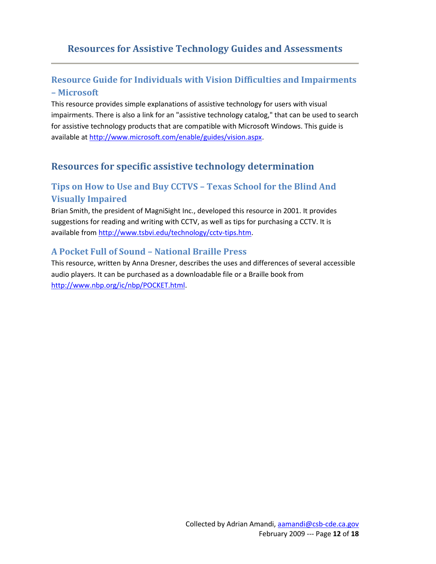## **Resource Guide for Individuals with Vision Difficulties and Impairments – Microsoft**

This resource provides simple explanations of assistive technology for users with visual impairments. There is also a link for an "assistive technology catalog," that can be used to search for assistive technology products that are compatible with Microsoft Windows. This guide is available a[t http://www.microsoft.com/enable/guides/vision.aspx.](http://www.microsoft.com/enable/guides/vision.aspx)

## **Resources for specific assistive technology determination**

# **Tips on How to Use and Buy CCTVS – Texas School for the Blind And Visually Impaired**

Brian Smith, the president of MagniSight Inc., developed this resource in 2001. It provides suggestions for reading and writing with CCTV, as well as tips for purchasing a CCTV. It is available from [http://www.tsbvi.edu/technology/cctv-tips.htm.](http://www.tsbvi.edu/technology/cctv-tips.htm)

#### **A Pocket Full of Sound – National Braille Press**

This resource, written by Anna Dresner, describes the uses and differences of several accessible audio players. It can be purchased as a downloadable file or a Braille book from [http://www.nbp.org/ic/nbp/POCKET.html.](http://www.nbp.org/ic/nbp/POCKET.html)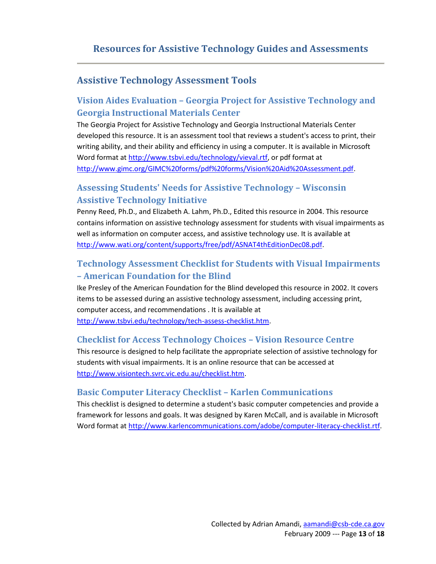# **Assistive Technology Assessment Tools**

# **Vision Aides Evaluation – Georgia Project for Assistive Technology and Georgia Instructional Materials Center**

The Georgia Project for Assistive Technology and Georgia Instructional Materials Center developed this resource. It is an assessment tool that reviews a student's access to print, their writing ability, and their ability and efficiency in using a computer. It is available in Microsoft Word format at [http://www.tsbvi.edu/technology/vieval.rtf,](http://www.tsbvi.edu/technology/vieval.rtf) or pdf format at [http://www.gimc.org/GIMC%20forms/pdf%20forms/Vision%20Aid%20Assessment.pdf.](http://www.gimc.org/GIMC%20forms/pdf%20forms/Vision%20Aid%20Assessment.pdf)

# **Assessing Students' Needs for Assistive Technology – Wisconsin Assistive Technology Initiative**

Penny Reed, Ph.D., and Elizabeth A. Lahm, Ph.D., Edited this resource in 2004. This resource contains information on assistive technology assessment for students with visual impairments as well as information on computer access, and assistive technology use. It is available at [http://www.wati.org/content/supports/free/pdf/ASNAT4thEditionDec08.pdf.](http://www.wati.org/content/supports/free/pdf/ASNAT4thEditionDec08.pdf)

# **Technology Assessment Checklist for Students with Visual Impairments – American Foundation for the Blind**

Ike Presley of the American Foundation for the Blind developed this resource in 2002. It covers items to be assessed during an assistive technology assessment, including accessing print, computer access, and recommendations . It is available at [http://www.tsbvi.edu/technology/tech-assess-checklist.htm.](http://www.tsbvi.edu/technology/tech-assess-checklist.htm)

### **Checklist for Access Technology Choices – Vision Resource Centre**

This resource is designed to help facilitate the appropriate selection of assistive technology for students with visual impairments. It is an online resource that can be accessed at [http://www.visiontech.svrc.vic.edu.au/checklist.htm.](http://www.visiontech.svrc.vic.edu.au/checklist.htm)

## **Basic Computer Literacy Checklist – Karlen Communications**

This checklist is designed to determine a student's basic computer competencies and provide a framework for lessons and goals. It was designed by Karen McCall, and is available in Microsoft Word format at [http://www.karlencommunications.com/adobe/computer-literacy-checklist.rtf.](http://www.karlencommunications.com/adobe/computer-literacy-checklist.rtf)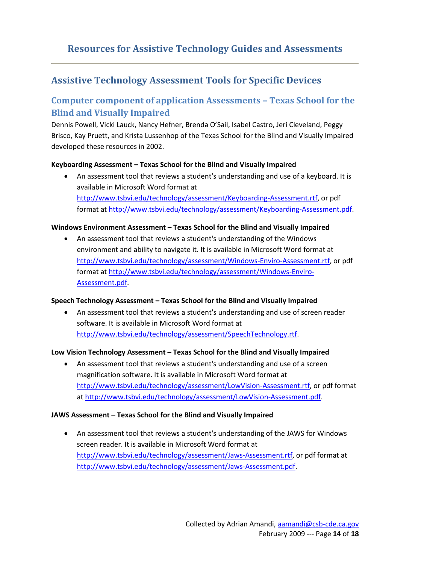## **Assistive Technology Assessment Tools for Specific Devices**

## **Computer component of application Assessments – Texas School for the Blind and Visually Impaired**

Dennis Powell, Vicki Lauck, Nancy Hefner, Brenda O'Sail, Isabel Castro, Jeri Cleveland, Peggy Brisco, Kay Pruett, and Krista Lussenhop of the Texas School for the Blind and Visually Impaired developed these resources in 2002.

#### **Keyboarding Assessment – Texas School for the Blind and Visually Impaired**

 An assessment tool that reviews a student's understanding and use of a keyboard. It is available in Microsoft Word format at [http://www.tsbvi.edu/technology/assessment/Keyboarding-Assessment.rtf,](http://www.tsbvi.edu/technology/assessment/Keyboarding-Assessment.rtf) or pdf format a[t http://www.tsbvi.edu/technology/assessment/Keyboarding-Assessment.pdf.](http://www.tsbvi.edu/technology/assessment/Keyboarding-Assessment.pdf)

#### **Windows Environment Assessment – Texas School for the Blind and Visually Impaired**

 An assessment tool that reviews a student's understanding of the Windows environment and ability to navigate it. It is available in Microsoft Word format at [http://www.tsbvi.edu/technology/assessment/Windows-Enviro-Assessment.rtf,](http://www.tsbvi.edu/technology/assessment/Windows-Enviro-Assessment.rtf) or pdf format a[t http://www.tsbvi.edu/technology/assessment/Windows-Enviro-](http://www.tsbvi.edu/technology/assessment/Windows-Enviro-Assessment.pdf)[Assessment.pdf.](http://www.tsbvi.edu/technology/assessment/Windows-Enviro-Assessment.pdf)

#### **Speech Technology Assessment – Texas School for the Blind and Visually Impaired**

 An assessment tool that reviews a student's understanding and use of screen reader software. It is available in Microsoft Word format at [http://www.tsbvi.edu/technology/assessment/SpeechTechnology.rtf.](http://www.tsbvi.edu/technology/assessment/SpeechTechnology.rtf)

#### **Low Vision Technology Assessment – Texas School for the Blind and Visually Impaired**

 An assessment tool that reviews a student's understanding and use of a screen magnification software. It is available in Microsoft Word format at [http://www.tsbvi.edu/technology/assessment/LowVision-Assessment.rtf,](http://www.tsbvi.edu/technology/assessment/LowVision-Assessment.rtf) or pdf format a[t http://www.tsbvi.edu/technology/assessment/LowVision-Assessment.pdf.](http://www.tsbvi.edu/technology/assessment/LowVision-Assessment.pdf)

#### **JAWS Assessment – Texas School for the Blind and Visually Impaired**

 An assessment tool that reviews a student's understanding of the JAWS for Windows screen reader. It is available in Microsoft Word format at [http://www.tsbvi.edu/technology/assessment/Jaws-Assessment.rtf,](http://www.tsbvi.edu/technology/assessment/Jaws-Assessment.rtf) or pdf format at [http://www.tsbvi.edu/technology/assessment/Jaws-Assessment.pdf.](http://www.tsbvi.edu/technology/assessment/Jaws-Assessment.pdf)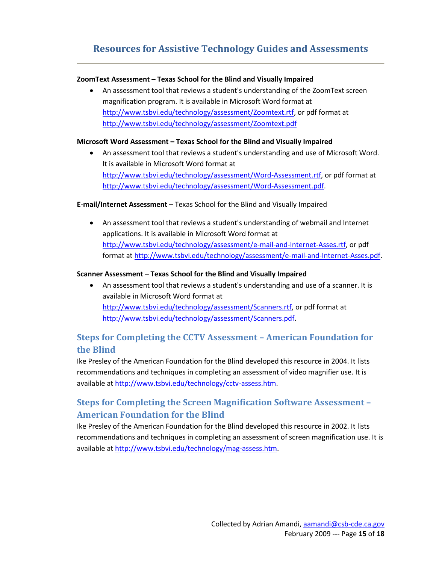#### **ZoomText Assessment – Texas School for the Blind and Visually Impaired**

 An assessment tool that reviews a student's understanding of the ZoomText screen magnification program. It is available in Microsoft Word format at [http://www.tsbvi.edu/technology/assessment/Zoomtext.rtf,](http://www.tsbvi.edu/technology/assessment/Zoomtext.rtf) or pdf format at <http://www.tsbvi.edu/technology/assessment/Zoomtext.pdf>

#### **Microsoft Word Assessment – Texas School for the Blind and Visually Impaired**

 An assessment tool that reviews a student's understanding and use of Microsoft Word. It is available in Microsoft Word format at [http://www.tsbvi.edu/technology/assessment/Word-Assessment.rtf,](http://www.tsbvi.edu/technology/assessment/Word-Assessment.rtf) or pdf format at [http://www.tsbvi.edu/technology/assessment/Word-Assessment.pdf.](http://www.tsbvi.edu/technology/assessment/Word-Assessment.pdf)

#### **E-mail/Internet Assessment** – Texas School for the Blind and Visually Impaired

 An assessment tool that reviews a student's understanding of webmail and Internet applications. It is available in Microsoft Word format at [http://www.tsbvi.edu/technology/assessment/e-mail-and-Internet-Asses.rtf,](http://www.tsbvi.edu/technology/assessment/e-mail-and-Internet-Asses.rtf) or pdf format a[t http://www.tsbvi.edu/technology/assessment/e-mail-and-Internet-Asses.pdf.](http://www.tsbvi.edu/technology/assessment/e-mail-and-Internet-Asses.pdf)

#### **Scanner Assessment – Texas School for the Blind and Visually Impaired**

 An assessment tool that reviews a student's understanding and use of a scanner. It is available in Microsoft Word format at [http://www.tsbvi.edu/technology/assessment/Scanners.rtf,](http://www.tsbvi.edu/technology/assessment/Scanners.rtf) or pdf format at [http://www.tsbvi.edu/technology/assessment/Scanners.pdf.](http://www.tsbvi.edu/technology/assessment/Scanners.pdf)

# **Steps for Completing the CCTV Assessment – American Foundation for the Blind**

Ike Presley of the American Foundation for the Blind developed this resource in 2004. It lists recommendations and techniques in completing an assessment of video magnifier use. It is available a[t http://www.tsbvi.edu/technology/cctv-assess.htm.](http://www.tsbvi.edu/technology/cctv-assess.htm)

# **Steps for Completing the Screen Magnification Software Assessment – American Foundation for the Blind**

Ike Presley of the American Foundation for the Blind developed this resource in 2002. It lists recommendations and techniques in completing an assessment of screen magnification use. It is available a[t http://www.tsbvi.edu/technology/mag-assess.htm.](http://www.tsbvi.edu/technology/mag-assess.htm)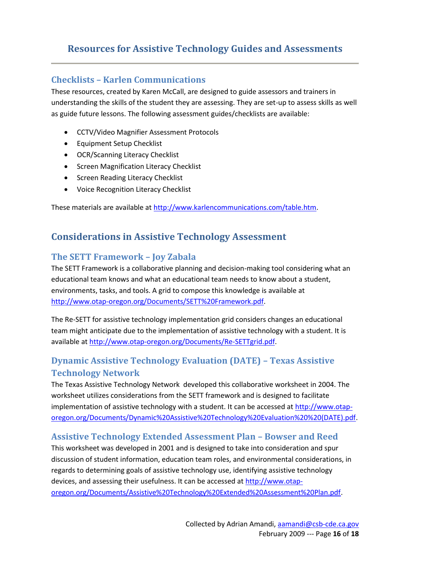#### **Checklists – Karlen Communications**

These resources, created by Karen McCall, are designed to guide assessors and trainers in understanding the skills of the student they are assessing. They are set-up to assess skills as well as guide future lessons. The following assessment guides/checklists are available:

- CCTV/Video Magnifier Assessment Protocols
- **•** Equipment Setup Checklist
- OCR/Scanning Literacy Checklist
- **•** Screen Magnification Literacy Checklist
- Screen Reading Literacy Checklist
- Voice Recognition Literacy Checklist

These materials are available a[t http://www.karlencommunications.com/table.htm.](http://www.karlencommunications.com/table.htm)

## **Considerations in Assistive Technology Assessment**

#### **The SETT Framework – Joy Zabala**

The SETT Framework is a collaborative planning and decision-making tool considering what an educational team knows and what an educational team needs to know about a student, environments, tasks, and tools. A grid to compose this knowledge is available at [http://www.otap-oregon.org/Documents/SETT%20Framework.pdf.](http://www.otap-oregon.org/Documents/SETT%20Framework.pdf)

The Re-SETT for assistive technology implementation grid considers changes an educational team might anticipate due to the implementation of assistive technology with a student. It is available a[t http://www.otap-oregon.org/Documents/Re-SETTgrid.pdf.](http://www.otap-oregon.org/Documents/Re-SETTgrid.pdf)

## **Dynamic Assistive Technology Evaluation (DATE) – Texas Assistive Technology Network**

The Texas Assistive Technology Network developed this collaborative worksheet in 2004. The worksheet utilizes considerations from the SETT framework and is designed to facilitate implementation of assistive technology with a student. It can be accessed a[t http://www.otap](http://www.otap-oregon.org/Documents/Dynamic%20Assistive%20Technology%20Evaluation%20%20(DATE).pdf)[oregon.org/Documents/Dynamic%20Assistive%20Technology%20Evaluation%20%20\(DATE\).pdf.](http://www.otap-oregon.org/Documents/Dynamic%20Assistive%20Technology%20Evaluation%20%20(DATE).pdf)

#### **Assistive Technology Extended Assessment Plan – Bowser and Reed**

This worksheet was developed in 2001 and is designed to take into consideration and spur discussion of student information, education team roles, and environmental considerations, in regards to determining goals of assistive technology use, identifying assistive technology devices, and assessing their usefulness. It can be accessed a[t http://www.otap](http://www.otap-oregon.org/Documents/Assistive%20Technology%20Extended%20Assessment%20Plan.pdf)[oregon.org/Documents/Assistive%20Technology%20Extended%20Assessment%20Plan.pdf.](http://www.otap-oregon.org/Documents/Assistive%20Technology%20Extended%20Assessment%20Plan.pdf)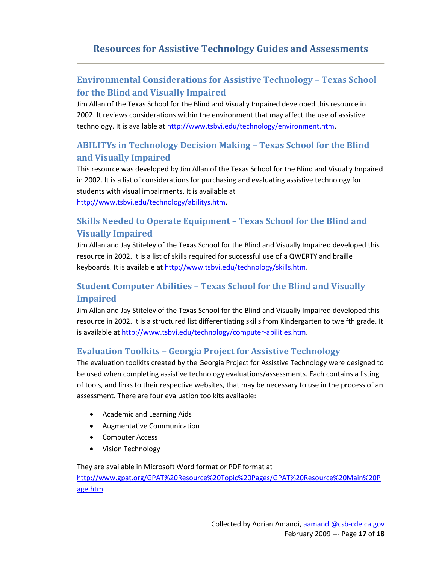# **Environmental Considerations for Assistive Technology – Texas School for the Blind and Visually Impaired**

Jim Allan of the Texas School for the Blind and Visually Impaired developed this resource in 2002. It reviews considerations within the environment that may affect the use of assistive technology. It is available a[t http://www.tsbvi.edu/technology/environment.htm.](http://www.tsbvi.edu/technology/environment.htm)

# **ABILITYs in Technology Decision Making – Texas School for the Blind and Visually Impaired**

This resource was developed by Jim Allan of the Texas School for the Blind and Visually Impaired in 2002. It is a list of considerations for purchasing and evaluating assistive technology for students with visual impairments. It is available at [http://www.tsbvi.edu/technology/abilitys.htm.](http://www.tsbvi.edu/technology/abilitys.htm)

# **Skills Needed to Operate Equipment – Texas School for the Blind and Visually Impaired**

Jim Allan and Jay Stiteley of the Texas School for the Blind and Visually Impaired developed this resource in 2002. It is a list of skills required for successful use of a QWERTY and braille keyboards. It is available at [http://www.tsbvi.edu/technology/skills.htm.](http://www.tsbvi.edu/technology/skills.htm)

# **Student Computer Abilities – Texas School for the Blind and Visually Impaired**

Jim Allan and Jay Stiteley of the Texas School for the Blind and Visually Impaired developed this resource in 2002. It is a structured list differentiating skills from Kindergarten to twelfth grade. It is available at [http://www.tsbvi.edu/technology/computer-abilities.htm.](http://www.tsbvi.edu/technology/computer-abilities.htm)

### **Evaluation Toolkits – Georgia Project for Assistive Technology**

The evaluation toolkits created by the Georgia Project for Assistive Technology were designed to be used when completing assistive technology evaluations/assessments. Each contains a listing of tools, and links to their respective websites, that may be necessary to use in the process of an assessment. There are four evaluation toolkits available:

- Academic and Learning Aids
- Augmentative Communication
- Computer Access
- Vision Technology

They are available in Microsoft Word format or PDF format at [http://www.gpat.org/GPAT%20Resource%20Topic%20Pages/GPAT%20Resource%20Main%20P](http://www.gpat.org/GPAT%20Resource%20Topic%20Pages/GPAT%20Resource%20Main%20Page.htm) [age.htm](http://www.gpat.org/GPAT%20Resource%20Topic%20Pages/GPAT%20Resource%20Main%20Page.htm)